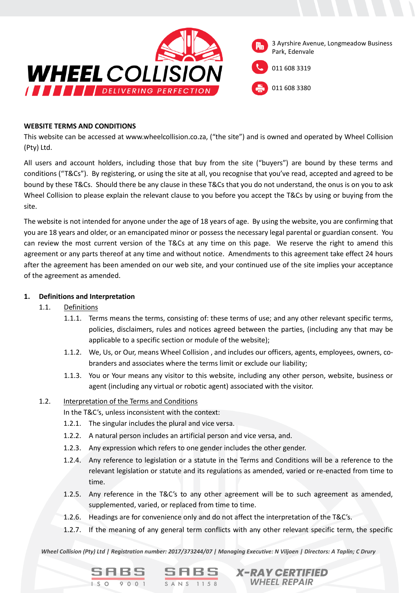

#### **WEBSITE TERMS AND CONDITIONS**

This website can be accessed at www.wheelcollision.co.za, ("the site") and is owned and operated by Wheel Collision (Pty) Ltd.

All users and account holders, including those that buy from the site ("buyers") are bound by these terms and conditions ("T&Cs"). By registering, or using the site at all, you recognise that you've read, accepted and agreed to be bound by these T&Cs. Should there be any clause in these T&Cs that you do not understand, the onus is on you to ask Wheel Collision to please explain the relevant clause to you before you accept the T&Cs by using or buying from the site.

The website is not intended for anyone under the age of 18 years of age. By using the website, you are confirming that you are 18 years and older, or an emancipated minor or possess the necessary legal parental or guardian consent. You can review the most current version of the T&Cs at any time on this page. We reserve the right to amend this agreement or any parts thereof at any time and without notice. Amendments to this agreement take effect 24 hours after the agreement has been amended on our web site, and your continued use of the site implies your acceptance of the agreement as amended.

### **1. Definitions and Interpretation**

- 1.1. Definitions
	- 1.1.1. Terms means the terms, consisting of: these terms of use; and any other relevant specific terms, policies, disclaimers, rules and notices agreed between the parties, (including any that may be applicable to a specific section or module of the website);
	- 1.1.2. We, Us, or Our, means Wheel Collision , and includes our officers, agents, employees, owners, cobranders and associates where the terms limit or exclude our liability;
	- 1.1.3. You or Your means any visitor to this website, including any other person, website, business or agent (including any virtual or robotic agent) associated with the visitor.

## 1.2. Interpretation of the Terms and Conditions

SABS

In the T&C's, unless inconsistent with the context:

- 1.2.1. The singular includes the plural and vice versa.
- 1.2.2. A natural person includes an artificial person and vice versa, and.
- 1.2.3. Any expression which refers to one gender includes the other gender.
- 1.2.4. Any reference to legislation or a statute in the Terms and Conditions will be a reference to the relevant legislation or statute and its regulations as amended, varied or re-enacted from time to time.
- 1.2.5. Any reference in the T&C's to any other agreement will be to such agreement as amended, supplemented, varied, or replaced from time to time.
- 1.2.6. Headings are for convenience only and do not affect the interpretation of the T&C's.
- 1.2.7. If the meaning of any general term conflicts with any other relevant specific term, the specific

**X-RAY CERTIFIED WHEEL REPAIR** 

*Wheel Collision (Pty) Ltd | Registration number: 2017/373244/07 | Managing Executive: N Viljoen | Directors: A Taplin; C Drury*

 $S<sub>ANS 1158</sub>$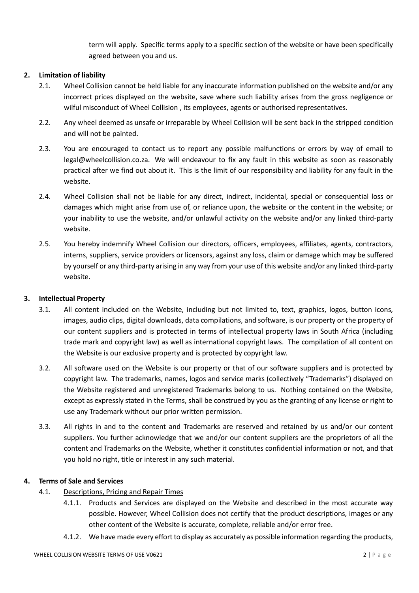term will apply. Specific terms apply to a specific section of the website or have been specifically agreed between you and us.

# **2. Limitation of liability**

- 2.1. Wheel Collision cannot be held liable for any inaccurate information published on the website and/or any incorrect prices displayed on the website, save where such liability arises from the gross negligence or wilful misconduct of Wheel Collision , its employees, agents or authorised representatives.
- 2.2. Any wheel deemed as unsafe or irreparable by Wheel Collision will be sent back in the stripped condition and will not be painted.
- 2.3. You are encouraged to contact us to report any possible malfunctions or errors by way of email to legal@wheelcollision.co.za. We will endeavour to fix any fault in this website as soon as reasonably practical after we find out about it. This is the limit of our responsibility and liability for any fault in the website.
- 2.4. Wheel Collision shall not be liable for any direct, indirect, incidental, special or consequential loss or damages which might arise from use of, or reliance upon, the website or the content in the website; or your inability to use the website, and/or unlawful activity on the website and/or any linked third-party website.
- 2.5. You hereby indemnify Wheel Collision our directors, officers, employees, affiliates, agents, contractors, interns, suppliers, service providers or licensors, against any loss, claim or damage which may be suffered by yourself or any third-party arising in any way from your use of this website and/or any linked third-party website.

## **3. Intellectual Property**

- 3.1. All content included on the Website, including but not limited to, text, graphics, logos, button icons, images, audio clips, digital downloads, data compilations, and software, is our property or the property of our content suppliers and is protected in terms of intellectual property laws in South Africa (including trade mark and copyright law) as well as international copyright laws. The compilation of all content on the Website is our exclusive property and is protected by copyright law.
- 3.2. All software used on the Website is our property or that of our software suppliers and is protected by copyright law. The trademarks, names, logos and service marks (collectively "Trademarks") displayed on the Website registered and unregistered Trademarks belong to us. Nothing contained on the Website, except as expressly stated in the Terms, shall be construed by you as the granting of any license or right to use any Trademark without our prior written permission.
- 3.3. All rights in and to the content and Trademarks are reserved and retained by us and/or our content suppliers. You further acknowledge that we and/or our content suppliers are the proprietors of all the content and Trademarks on the Website, whether it constitutes confidential information or not, and that you hold no right, title or interest in any such material.

## **4. Terms of Sale and Services**

- 4.1. Descriptions, Pricing and Repair Times
	- 4.1.1. Products and Services are displayed on the Website and described in the most accurate way possible. However, Wheel Collision does not certify that the product descriptions, images or any other content of the Website is accurate, complete, reliable and/or error free.
	- 4.1.2. We have made every effort to display as accurately as possible information regarding the products,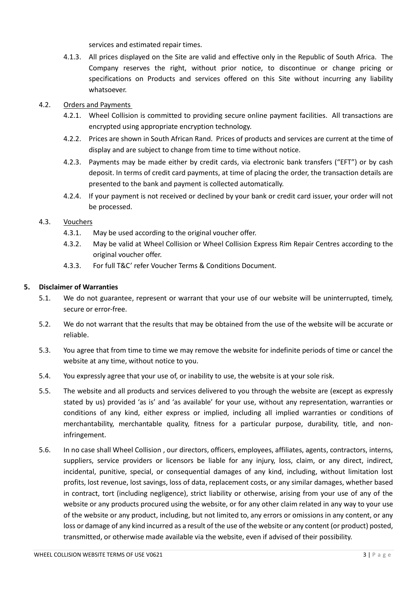services and estimated repair times.

4.1.3. All prices displayed on the Site are valid and effective only in the Republic of South Africa. The Company reserves the right, without prior notice, to discontinue or change pricing or specifications on Products and services offered on this Site without incurring any liability whatsoever.

# 4.2. Orders and Payments

- 4.2.1. Wheel Collision is committed to providing secure online payment facilities. All transactions are encrypted using appropriate encryption technology.
- 4.2.2. Prices are shown in South African Rand. Prices of products and services are current at the time of display and are subject to change from time to time without notice.
- 4.2.3. Payments may be made either by credit cards, via electronic bank transfers ("EFT") or by cash deposit. In terms of credit card payments, at time of placing the order, the transaction details are presented to the bank and payment is collected automatically.
- 4.2.4. If your payment is not received or declined by your bank or credit card issuer, your order will not be processed.

# 4.3. Vouchers

- 4.3.1. May be used according to the original voucher offer.
- 4.3.2. May be valid at Wheel Collision or Wheel Collision Express Rim Repair Centres according to the original voucher offer.
- 4.3.3. For full T&C' refer Voucher Terms & Conditions Document.

## **5. Disclaimer of Warranties**

- 5.1. We do not guarantee, represent or warrant that your use of our website will be uninterrupted, timely, secure or error-free.
- 5.2. We do not warrant that the results that may be obtained from the use of the website will be accurate or reliable.
- 5.3. You agree that from time to time we may remove the website for indefinite periods of time or cancel the website at any time, without notice to you.
- 5.4. You expressly agree that your use of, or inability to use, the website is at your sole risk.
- 5.5. The website and all products and services delivered to you through the website are (except as expressly stated by us) provided 'as is' and 'as available' for your use, without any representation, warranties or conditions of any kind, either express or implied, including all implied warranties or conditions of merchantability, merchantable quality, fitness for a particular purpose, durability, title, and noninfringement.
- 5.6. In no case shall Wheel Collision , our directors, officers, employees, affiliates, agents, contractors, interns, suppliers, service providers or licensors be liable for any injury, loss, claim, or any direct, indirect, incidental, punitive, special, or consequential damages of any kind, including, without limitation lost profits, lost revenue, lost savings, loss of data, replacement costs, or any similar damages, whether based in contract, tort (including negligence), strict liability or otherwise, arising from your use of any of the website or any products procured using the website, or for any other claim related in any way to your use of the website or any product, including, but not limited to, any errors or omissions in any content, or any loss or damage of any kind incurred as a result of the use of the website or any content (or product) posted, transmitted, or otherwise made available via the website, even if advised of their possibility.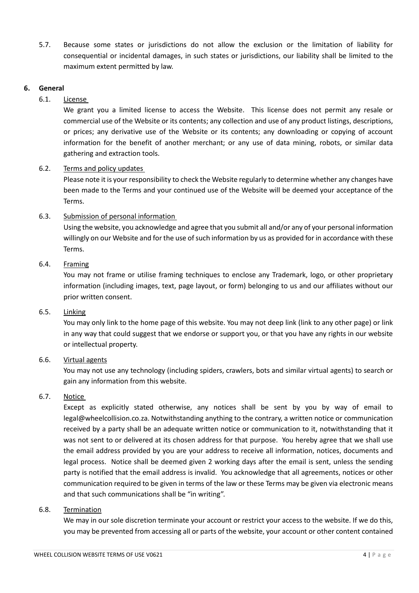5.7. Because some states or jurisdictions do not allow the exclusion or the limitation of liability for consequential or incidental damages, in such states or jurisdictions, our liability shall be limited to the maximum extent permitted by law.

#### **6. General**

## 6.1. License

We grant you a limited license to access the Website. This license does not permit any resale or commercial use of the Website or its contents; any collection and use of any product listings, descriptions, or prices; any derivative use of the Website or its contents; any downloading or copying of account information for the benefit of another merchant; or any use of data mining, robots, or similar data gathering and extraction tools.

### 6.2. Terms and policy updates

Please note it is your responsibility to check the Website regularly to determine whether any changes have been made to the Terms and your continued use of the Website will be deemed your acceptance of the Terms.

## 6.3. Submission of personal information

Using the website, you acknowledge and agree that you submit all and/or any of your personal information willingly on our Website and for the use of such information by us as provided for in accordance with these Terms.

#### 6.4. Framing

You may not frame or utilise framing techniques to enclose any Trademark, logo, or other proprietary information (including images, text, page layout, or form) belonging to us and our affiliates without our prior written consent.

### 6.5. Linking

You may only link to the home page of this website. You may not deep link (link to any other page) or link in any way that could suggest that we endorse or support you, or that you have any rights in our website or intellectual property.

#### 6.6. Virtual agents

You may not use any technology (including spiders, crawlers, bots and similar virtual agents) to search or gain any information from this website.

## 6.7. Notice

Except as explicitly stated otherwise, any notices shall be sent by you by way of email to legal@wheelcollision.co.za. Notwithstanding anything to the contrary, a written notice or communication received by a party shall be an adequate written notice or communication to it, notwithstanding that it was not sent to or delivered at its chosen address for that purpose. You hereby agree that we shall use the email address provided by you are your address to receive all information, notices, documents and legal process. Notice shall be deemed given 2 working days after the email is sent, unless the sending party is notified that the email address is invalid. You acknowledge that all agreements, notices or other communication required to be given in terms of the law or these Terms may be given via electronic means and that such communications shall be "in writing".

#### 6.8. Termination

We may in our sole discretion terminate your account or restrict your access to the website. If we do this, you may be prevented from accessing all or parts of the website, your account or other content contained